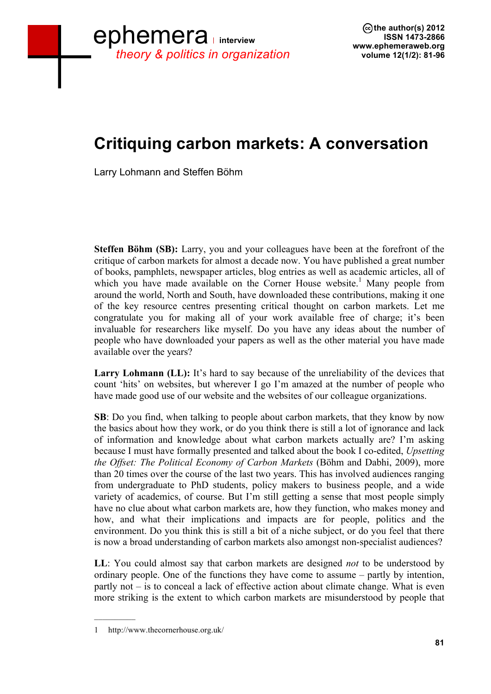## **Critiquing carbon markets: A conversation**

Larry Lohmann and Steffen Böhm

**Steffen Böhm (SB):** Larry, you and your colleagues have been at the forefront of the critique of carbon markets for almost a decade now. You have published a great number of books, pamphlets, newspaper articles, blog entries as well as academic articles, all of which you have made available on the Corner House website.<sup>1</sup> Many people from around the world, North and South, have downloaded these contributions, making it one of the key resource centres presenting critical thought on carbon markets. Let me congratulate you for making all of your work available free of charge; it's been invaluable for researchers like myself. Do you have any ideas about the number of people who have downloaded your papers as well as the other material you have made available over the years?

Larry Lohmann (LL): It's hard to say because of the unreliability of the devices that count 'hits' on websites, but wherever I go I'm amazed at the number of people who have made good use of our website and the websites of our colleague organizations.

**SB**: Do you find, when talking to people about carbon markets, that they know by now the basics about how they work, or do you think there is still a lot of ignorance and lack of information and knowledge about what carbon markets actually are? I'm asking because I must have formally presented and talked about the book I co-edited, *Upsetting the Offset: The Political Economy of Carbon Markets* (Böhm and Dabhi, 2009), more than 20 times over the course of the last two years. This has involved audiences ranging from undergraduate to PhD students, policy makers to business people, and a wide variety of academics, of course. But I'm still getting a sense that most people simply have no clue about what carbon markets are, how they function, who makes money and how, and what their implications and impacts are for people, politics and the environment. Do you think this is still a bit of a niche subject, or do you feel that there is now a broad understanding of carbon markets also amongst non-specialist audiences?

**LL**: You could almost say that carbon markets are designed *not* to be understood by ordinary people. One of the functions they have come to assume – partly by intention, partly not – is to conceal a lack of effective action about climate change. What is even more striking is the extent to which carbon markets are misunderstood by people that

<sup>1</sup> http://www.thecornerhouse.org.uk/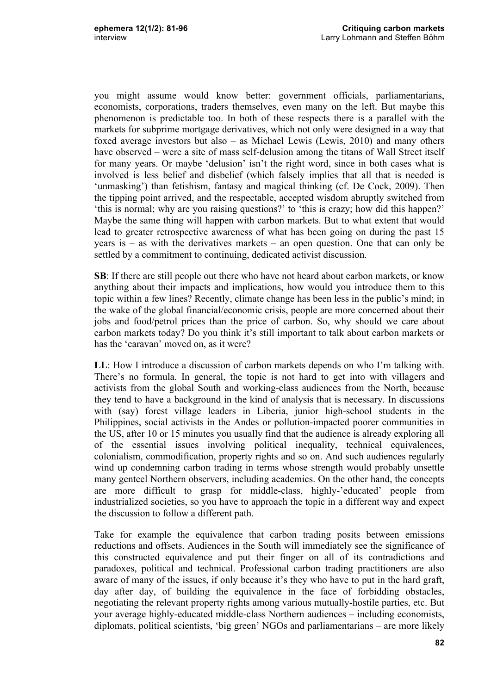you might assume would know better: government officials, parliamentarians, economists, corporations, traders themselves, even many on the left. But maybe this phenomenon is predictable too. In both of these respects there is a parallel with the markets for subprime mortgage derivatives, which not only were designed in a way that foxed average investors but also – as Michael Lewis (Lewis, 2010) and many others have observed – were a site of mass self-delusion among the titans of Wall Street itself for many years. Or maybe 'delusion' isn't the right word, since in both cases what is involved is less belief and disbelief (which falsely implies that all that is needed is 'unmasking') than fetishism, fantasy and magical thinking (cf. De Cock, 2009). Then the tipping point arrived, and the respectable, accepted wisdom abruptly switched from 'this is normal; why are you raising questions?' to 'this is crazy; how did this happen?' Maybe the same thing will happen with carbon markets. But to what extent that would lead to greater retrospective awareness of what has been going on during the past 15 years is – as with the derivatives markets – an open question. One that can only be settled by a commitment to continuing, dedicated activist discussion.

**SB**: If there are still people out there who have not heard about carbon markets, or know anything about their impacts and implications, how would you introduce them to this topic within a few lines? Recently, climate change has been less in the public's mind; in the wake of the global financial/economic crisis, people are more concerned about their jobs and food/petrol prices than the price of carbon. So, why should we care about carbon markets today? Do you think it's still important to talk about carbon markets or has the 'caravan' moved on, as it were?

**LL**: How I introduce a discussion of carbon markets depends on who I'm talking with. There's no formula. In general, the topic is not hard to get into with villagers and activists from the global South and working-class audiences from the North, because they tend to have a background in the kind of analysis that is necessary. In discussions with (say) forest village leaders in Liberia, junior high-school students in the Philippines, social activists in the Andes or pollution-impacted poorer communities in the US, after 10 or 15 minutes you usually find that the audience is already exploring all of the essential issues involving political inequality, technical equivalences, colonialism, commodification, property rights and so on. And such audiences regularly wind up condemning carbon trading in terms whose strength would probably unsettle many genteel Northern observers, including academics. On the other hand, the concepts are more difficult to grasp for middle-class, highly-'educated' people from industrialized societies, so you have to approach the topic in a different way and expect the discussion to follow a different path.

Take for example the equivalence that carbon trading posits between emissions reductions and offsets. Audiences in the South will immediately see the significance of this constructed equivalence and put their finger on all of its contradictions and paradoxes, political and technical. Professional carbon trading practitioners are also aware of many of the issues, if only because it's they who have to put in the hard graft, day after day, of building the equivalence in the face of forbidding obstacles, negotiating the relevant property rights among various mutually-hostile parties, etc. But your average highly-educated middle-class Northern audiences – including economists, diplomats, political scientists, 'big green' NGOs and parliamentarians – are more likely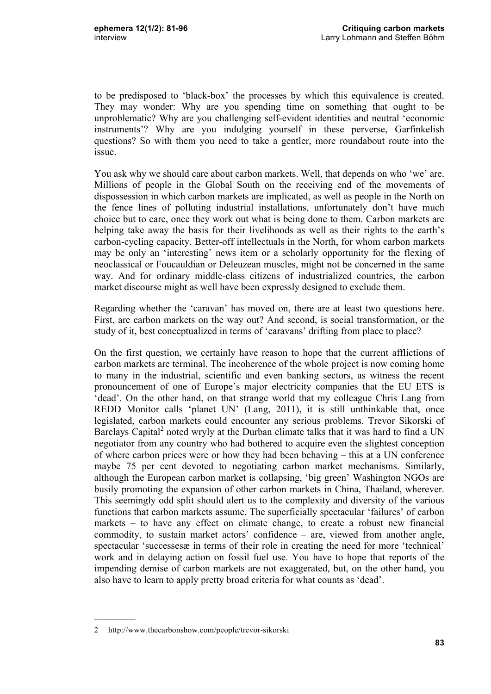to be predisposed to 'black-box' the processes by which this equivalence is created. They may wonder: Why are you spending time on something that ought to be unproblematic? Why are you challenging self-evident identities and neutral 'economic instruments'? Why are you indulging yourself in these perverse, Garfinkelish questions? So with them you need to take a gentler, more roundabout route into the issue.

You ask why we should care about carbon markets. Well, that depends on who 'we' are. Millions of people in the Global South on the receiving end of the movements of dispossession in which carbon markets are implicated, as well as people in the North on the fence lines of polluting industrial installations, unfortunately don't have much choice but to care, once they work out what is being done to them. Carbon markets are helping take away the basis for their livelihoods as well as their rights to the earth's carbon-cycling capacity. Better-off intellectuals in the North, for whom carbon markets may be only an 'interesting' news item or a scholarly opportunity for the flexing of neoclassical or Foucauldian or Deleuzean muscles, might not be concerned in the same way. And for ordinary middle-class citizens of industrialized countries, the carbon market discourse might as well have been expressly designed to exclude them.

Regarding whether the 'caravan' has moved on, there are at least two questions here. First, are carbon markets on the way out? And second, is social transformation, or the study of it, best conceptualized in terms of 'caravans' drifting from place to place?

On the first question, we certainly have reason to hope that the current afflictions of carbon markets are terminal. The incoherence of the whole project is now coming home to many in the industrial, scientific and even banking sectors, as witness the recent pronouncement of one of Europe's major electricity companies that the EU ETS is 'dead'. On the other hand, on that strange world that my colleague Chris Lang from REDD Monitor calls 'planet UN' (Lang, 2011), it is still unthinkable that, once legislated, carbon markets could encounter any serious problems. Trevor Sikorski of Barclays Capital<sup>2</sup> noted wryly at the Durban climate talks that it was hard to find a UN negotiator from any country who had bothered to acquire even the slightest conception of where carbon prices were or how they had been behaving – this at a UN conference maybe 75 per cent devoted to negotiating carbon market mechanisms. Similarly, although the European carbon market is collapsing, 'big green' Washington NGOs are busily promoting the expansion of other carbon markets in China, Thailand, wherever. This seemingly odd split should alert us to the complexity and diversity of the various functions that carbon markets assume. The superficially spectacular 'failures' of carbon markets – to have any effect on climate change, to create a robust new financial commodity, to sustain market actors' confidence – are, viewed from another angle, spectacular 'successesæ in terms of their role in creating the need for more 'technical' work and in delaying action on fossil fuel use. You have to hope that reports of the impending demise of carbon markets are not exaggerated, but, on the other hand, you also have to learn to apply pretty broad criteria for what counts as 'dead'.

<sup>2</sup> http://www.thecarbonshow.com/people/trevor-sikorski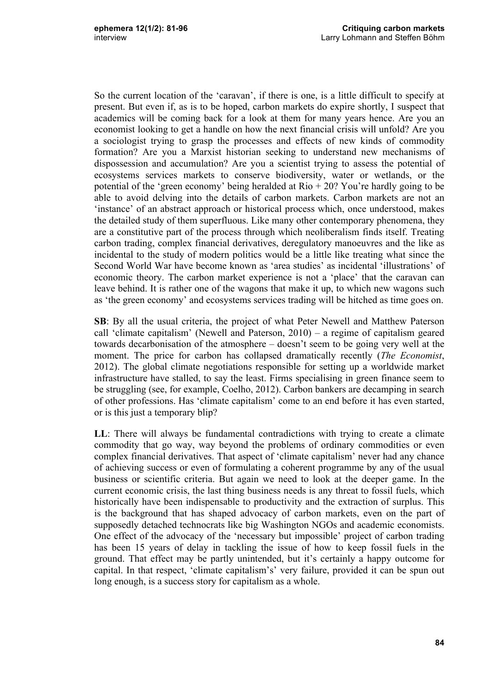So the current location of the 'caravan', if there is one, is a little difficult to specify at present. But even if, as is to be hoped, carbon markets do expire shortly, I suspect that academics will be coming back for a look at them for many years hence. Are you an economist looking to get a handle on how the next financial crisis will unfold? Are you a sociologist trying to grasp the processes and effects of new kinds of commodity formation? Are you a Marxist historian seeking to understand new mechanisms of dispossession and accumulation? Are you a scientist trying to assess the potential of ecosystems services markets to conserve biodiversity, water or wetlands, or the potential of the 'green economy' being heralded at Rio + 20? You're hardly going to be able to avoid delving into the details of carbon markets. Carbon markets are not an 'instance' of an abstract approach or historical process which, once understood, makes the detailed study of them superfluous. Like many other contemporary phenomena, they are a constitutive part of the process through which neoliberalism finds itself. Treating carbon trading, complex financial derivatives, deregulatory manoeuvres and the like as incidental to the study of modern politics would be a little like treating what since the Second World War have become known as 'area studies' as incidental 'illustrations' of economic theory. The carbon market experience is not a 'place' that the caravan can leave behind. It is rather one of the wagons that make it up, to which new wagons such as 'the green economy' and ecosystems services trading will be hitched as time goes on.

**SB**: By all the usual criteria, the project of what Peter Newell and Matthew Paterson call 'climate capitalism' (Newell and Paterson, 2010) – a regime of capitalism geared towards decarbonisation of the atmosphere – doesn't seem to be going very well at the moment. The price for carbon has collapsed dramatically recently (*The Economist*, 2012). The global climate negotiations responsible for setting up a worldwide market infrastructure have stalled, to say the least. Firms specialising in green finance seem to be struggling (see, for example, Coelho, 2012). Carbon bankers are decamping in search of other professions. Has 'climate capitalism' come to an end before it has even started, or is this just a temporary blip?

**LL**: There will always be fundamental contradictions with trying to create a climate commodity that go way, way beyond the problems of ordinary commodities or even complex financial derivatives. That aspect of 'climate capitalism' never had any chance of achieving success or even of formulating a coherent programme by any of the usual business or scientific criteria. But again we need to look at the deeper game. In the current economic crisis, the last thing business needs is any threat to fossil fuels, which historically have been indispensable to productivity and the extraction of surplus. This is the background that has shaped advocacy of carbon markets, even on the part of supposedly detached technocrats like big Washington NGOs and academic economists. One effect of the advocacy of the 'necessary but impossible' project of carbon trading has been 15 years of delay in tackling the issue of how to keep fossil fuels in the ground. That effect may be partly unintended, but it's certainly a happy outcome for capital. In that respect, 'climate capitalism's' very failure, provided it can be spun out long enough, is a success story for capitalism as a whole.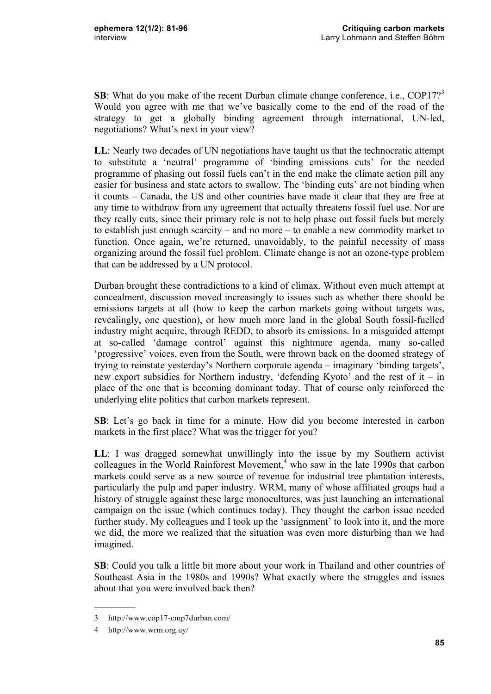**SB**: What do you make of the recent Durban climate change conference, i.e., COP17?<sup>3</sup> Would you agree with me that we've basically come to the end of the road of the strategy to get a globally binding agreement through international, UN-led, negotiations? What's next in your view?

**LL**: Nearly two decades of UN negotiations have taught us that the technocratic attempt to substitute a 'neutral' programme of 'binding emissions cuts' for the needed programme of phasing out fossil fuels can't in the end make the climate action pill any easier for business and state actors to swallow. The 'binding cuts' are not binding when it counts – Canada, the US and other countries have made it clear that they are free at any time to withdraw from any agreement that actually threatens fossil fuel use. Nor are they really cuts, since their primary role is not to help phase out fossil fuels but merely to establish just enough scarcity – and no more – to enable a new commodity market to function. Once again, we're returned, unavoidably, to the painful necessity of mass organizing around the fossil fuel problem. Climate change is not an ozone-type problem that can be addressed by a UN protocol.

Durban brought these contradictions to a kind of climax. Without even much attempt at concealment, discussion moved increasingly to issues such as whether there should be emissions targets at all (how to keep the carbon markets going without targets was, revealingly, one question), or how much more land in the global South fossil-fuelled industry might acquire, through REDD, to absorb its emissions. In a misguided attempt at so-called 'damage control' against this nightmare agenda, many so-called 'progressive' voices, even from the South, were thrown back on the doomed strategy of trying to reinstate yesterday's Northern corporate agenda – imaginary 'binding targets', new export subsidies for Northern industry, 'defending Kyoto' and the rest of it – in place of the one that is becoming dominant today. That of course only reinforced the underlying elite politics that carbon markets represent.

**SB**: Let's go back in time for a minute. How did you become interested in carbon markets in the first place? What was the trigger for you?

**LL**: I was dragged somewhat unwillingly into the issue by my Southern activist colleagues in the World Rainforest Movement, $<sup>4</sup>$  who saw in the late 1990s that carbon</sup> markets could serve as a new source of revenue for industrial tree plantation interests, particularly the pulp and paper industry. WRM, many of whose affiliated groups had a history of struggle against these large monocultures, was just launching an international campaign on the issue (which continues today). They thought the carbon issue needed further study. My colleagues and I took up the 'assignment' to look into it, and the more we did, the more we realized that the situation was even more disturbing than we had imagined.

**SB**: Could you talk a little bit more about your work in Thailand and other countries of Southeast Asia in the 1980s and 1990s? What exactly where the struggles and issues about that you were involved back then?

<sup>3</sup> http://www.cop17-cmp7durban.com/

<sup>4</sup> http://www.wrm.org.uy/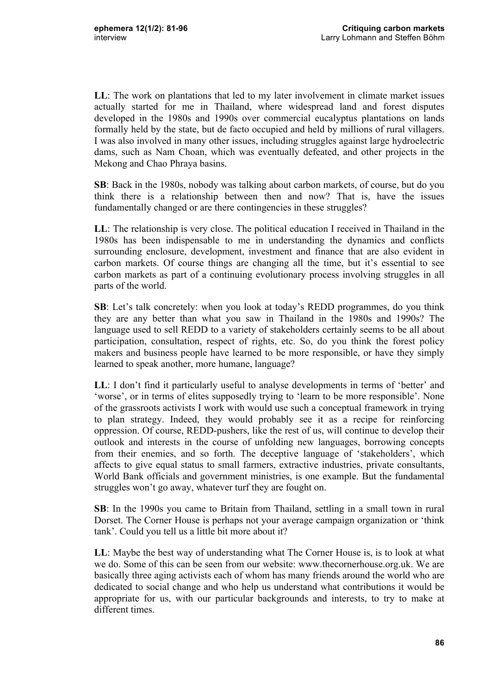**LL**: The work on plantations that led to my later involvement in climate market issues actually started for me in Thailand, where widespread land and forest disputes developed in the 1980s and 1990s over commercial eucalyptus plantations on lands formally held by the state, but de facto occupied and held by millions of rural villagers. I was also involved in many other issues, including struggles against large hydroelectric dams, such as Nam Choan, which was eventually defeated, and other projects in the Mekong and Chao Phraya basins.

**SB**: Back in the 1980s, nobody was talking about carbon markets, of course, but do you think there is a relationship between then and now? That is, have the issues fundamentally changed or are there contingencies in these struggles?

**LL**: The relationship is very close. The political education I received in Thailand in the 1980s has been indispensable to me in understanding the dynamics and conflicts surrounding enclosure, development, investment and finance that are also evident in carbon markets. Of course things are changing all the time, but it's essential to see carbon markets as part of a continuing evolutionary process involving struggles in all parts of the world.

**SB**: Let's talk concretely: when you look at today's REDD programmes, do you think they are any better than what you saw in Thailand in the 1980s and 1990s? The language used to sell REDD to a variety of stakeholders certainly seems to be all about participation, consultation, respect of rights, etc. So, do you think the forest policy makers and business people have learned to be more responsible, or have they simply learned to speak another, more humane, language?

**LL**: I don't find it particularly useful to analyse developments in terms of 'better' and 'worse', or in terms of elites supposedly trying to 'learn to be more responsible'. None of the grassroots activists I work with would use such a conceptual framework in trying to plan strategy. Indeed, they would probably see it as a recipe for reinforcing oppression. Of course, REDD-pushers, like the rest of us, will continue to develop their outlook and interests in the course of unfolding new languages, borrowing concepts from their enemies, and so forth. The deceptive language of 'stakeholders', which affects to give equal status to small farmers, extractive industries, private consultants, World Bank officials and government ministries, is one example. But the fundamental struggles won't go away, whatever turf they are fought on.

**SB**: In the 1990s you came to Britain from Thailand, settling in a small town in rural Dorset. The Corner House is perhaps not your average campaign organization or 'think tank'. Could you tell us a little bit more about it?

**LL**: Maybe the best way of understanding what The Corner House is, is to look at what we do. Some of this can be seen from our website: www.thecornerhouse.org.uk. We are basically three aging activists each of whom has many friends around the world who are dedicated to social change and who help us understand what contributions it would be appropriate for us, with our particular backgrounds and interests, to try to make at different times.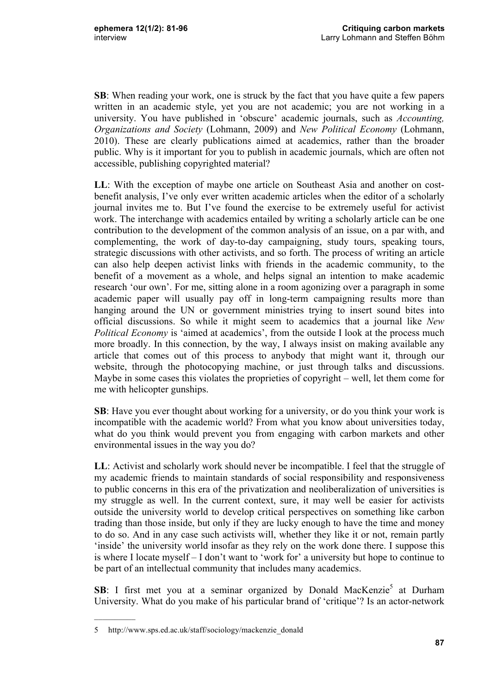**SB**: When reading your work, one is struck by the fact that you have quite a few papers written in an academic style, yet you are not academic; you are not working in a university. You have published in 'obscure' academic journals, such as *Accounting, Organizations and Society* (Lohmann, 2009) and *New Political Economy* (Lohmann, 2010). These are clearly publications aimed at academics, rather than the broader public. Why is it important for you to publish in academic journals, which are often not accessible, publishing copyrighted material?

**LL**: With the exception of maybe one article on Southeast Asia and another on costbenefit analysis, I've only ever written academic articles when the editor of a scholarly journal invites me to. But I've found the exercise to be extremely useful for activist work. The interchange with academics entailed by writing a scholarly article can be one contribution to the development of the common analysis of an issue, on a par with, and complementing, the work of day-to-day campaigning, study tours, speaking tours, strategic discussions with other activists, and so forth. The process of writing an article can also help deepen activist links with friends in the academic community, to the benefit of a movement as a whole, and helps signal an intention to make academic research 'our own'. For me, sitting alone in a room agonizing over a paragraph in some academic paper will usually pay off in long-term campaigning results more than hanging around the UN or government ministries trying to insert sound bites into official discussions. So while it might seem to academics that a journal like *New Political Economy* is 'aimed at academics', from the outside I look at the process much more broadly. In this connection, by the way, I always insist on making available any article that comes out of this process to anybody that might want it, through our website, through the photocopying machine, or just through talks and discussions. Maybe in some cases this violates the proprieties of copyright – well, let them come for me with helicopter gunships.

**SB**: Have you ever thought about working for a university, or do you think your work is incompatible with the academic world? From what you know about universities today, what do you think would prevent you from engaging with carbon markets and other environmental issues in the way you do?

**LL**: Activist and scholarly work should never be incompatible. I feel that the struggle of my academic friends to maintain standards of social responsibility and responsiveness to public concerns in this era of the privatization and neoliberalization of universities is my struggle as well. In the current context, sure, it may well be easier for activists outside the university world to develop critical perspectives on something like carbon trading than those inside, but only if they are lucky enough to have the time and money to do so. And in any case such activists will, whether they like it or not, remain partly 'inside' the university world insofar as they rely on the work done there. I suppose this is where I locate myself – I don't want to 'work for' a university but hope to continue to be part of an intellectual community that includes many academics.

**SB**: I first met you at a seminar organized by Donald MacKenzie<sup>5</sup> at Durham University. What do you make of his particular brand of 'critique'? Is an actor-network

<sup>5</sup> http://www.sps.ed.ac.uk/staff/sociology/mackenzie\_donald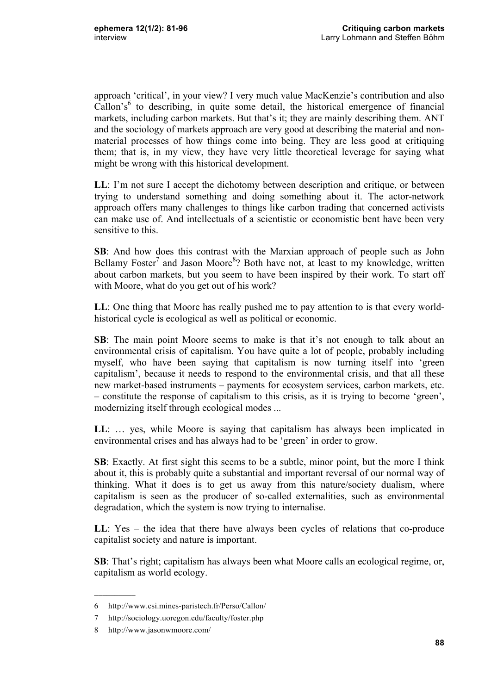approach 'critical', in your view? I very much value MacKenzie's contribution and also Callon's<sup>6</sup> to describing, in quite some detail, the historical emergence of financial markets, including carbon markets. But that's it; they are mainly describing them. ANT and the sociology of markets approach are very good at describing the material and nonmaterial processes of how things come into being. They are less good at critiquing them; that is, in my view, they have very little theoretical leverage for saying what might be wrong with this historical development.

**LL**: I'm not sure I accept the dichotomy between description and critique, or between trying to understand something and doing something about it. The actor-network approach offers many challenges to things like carbon trading that concerned activists can make use of. And intellectuals of a scientistic or economistic bent have been very sensitive to this.

**SB**: And how does this contrast with the Marxian approach of people such as John Bellamy Foster<sup>7</sup> and Jason Moore<sup>8</sup>? Both have not, at least to my knowledge, written about carbon markets, but you seem to have been inspired by their work. To start off with Moore, what do you get out of his work?

**LL**: One thing that Moore has really pushed me to pay attention to is that every worldhistorical cycle is ecological as well as political or economic.

**SB**: The main point Moore seems to make is that it's not enough to talk about an environmental crisis of capitalism. You have quite a lot of people, probably including myself, who have been saying that capitalism is now turning itself into 'green capitalism', because it needs to respond to the environmental crisis, and that all these new market-based instruments – payments for ecosystem services, carbon markets, etc. – constitute the response of capitalism to this crisis, as it is trying to become 'green', modernizing itself through ecological modes ...

**LL**: … yes, while Moore is saying that capitalism has always been implicated in environmental crises and has always had to be 'green' in order to grow.

**SB**: Exactly. At first sight this seems to be a subtle, minor point, but the more I think about it, this is probably quite a substantial and important reversal of our normal way of thinking. What it does is to get us away from this nature/society dualism, where capitalism is seen as the producer of so-called externalities, such as environmental degradation, which the system is now trying to internalise.

**LL**: Yes – the idea that there have always been cycles of relations that co-produce capitalist society and nature is important.

**SB**: That's right; capitalism has always been what Moore calls an ecological regime, or, capitalism as world ecology.

 $\frac{1}{2}$ 

<sup>6</sup> http://www.csi.mines-paristech.fr/Perso/Callon/

<sup>7</sup> http://sociology.uoregon.edu/faculty/foster.php

<sup>8</sup> http://www.jasonwmoore.com/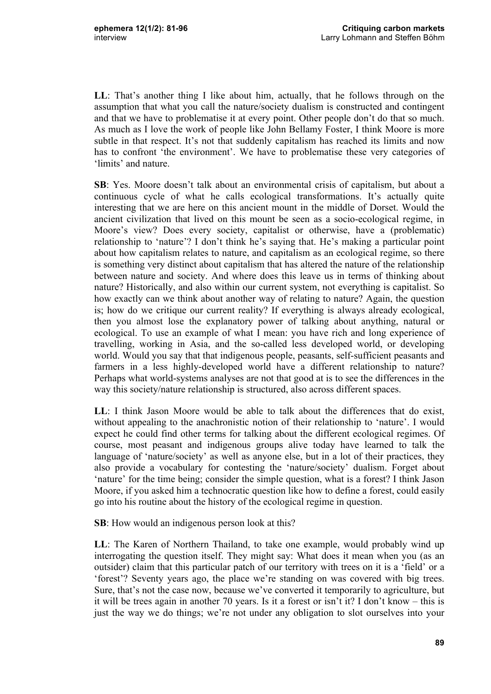**LL**: That's another thing I like about him, actually, that he follows through on the assumption that what you call the nature/society dualism is constructed and contingent and that we have to problematise it at every point. Other people don't do that so much. As much as I love the work of people like John Bellamy Foster, I think Moore is more subtle in that respect. It's not that suddenly capitalism has reached its limits and now has to confront 'the environment'. We have to problematise these very categories of 'limits' and nature.

**SB**: Yes. Moore doesn't talk about an environmental crisis of capitalism, but about a continuous cycle of what he calls ecological transformations. It's actually quite interesting that we are here on this ancient mount in the middle of Dorset. Would the ancient civilization that lived on this mount be seen as a socio-ecological regime, in Moore's view? Does every society, capitalist or otherwise, have a (problematic) relationship to 'nature'? I don't think he's saying that. He's making a particular point about how capitalism relates to nature, and capitalism as an ecological regime, so there is something very distinct about capitalism that has altered the nature of the relationship between nature and society. And where does this leave us in terms of thinking about nature? Historically, and also within our current system, not everything is capitalist. So how exactly can we think about another way of relating to nature? Again, the question is; how do we critique our current reality? If everything is always already ecological, then you almost lose the explanatory power of talking about anything, natural or ecological. To use an example of what I mean: you have rich and long experience of travelling, working in Asia, and the so-called less developed world, or developing world. Would you say that that indigenous people, peasants, self-sufficient peasants and farmers in a less highly-developed world have a different relationship to nature? Perhaps what world-systems analyses are not that good at is to see the differences in the way this society/nature relationship is structured, also across different spaces.

**LL**: I think Jason Moore would be able to talk about the differences that do exist, without appealing to the anachronistic notion of their relationship to 'nature'. I would expect he could find other terms for talking about the different ecological regimes. Of course, most peasant and indigenous groups alive today have learned to talk the language of 'nature/society' as well as anyone else, but in a lot of their practices, they also provide a vocabulary for contesting the 'nature/society' dualism. Forget about 'nature' for the time being; consider the simple question, what is a forest? I think Jason Moore, if you asked him a technocratic question like how to define a forest, could easily go into his routine about the history of the ecological regime in question.

**SB**: How would an indigenous person look at this?

**LL**: The Karen of Northern Thailand, to take one example, would probably wind up interrogating the question itself. They might say: What does it mean when you (as an outsider) claim that this particular patch of our territory with trees on it is a 'field' or a 'forest'? Seventy years ago, the place we're standing on was covered with big trees. Sure, that's not the case now, because we've converted it temporarily to agriculture, but it will be trees again in another 70 years. Is it a forest or isn't it? I don't know – this is just the way we do things; we're not under any obligation to slot ourselves into your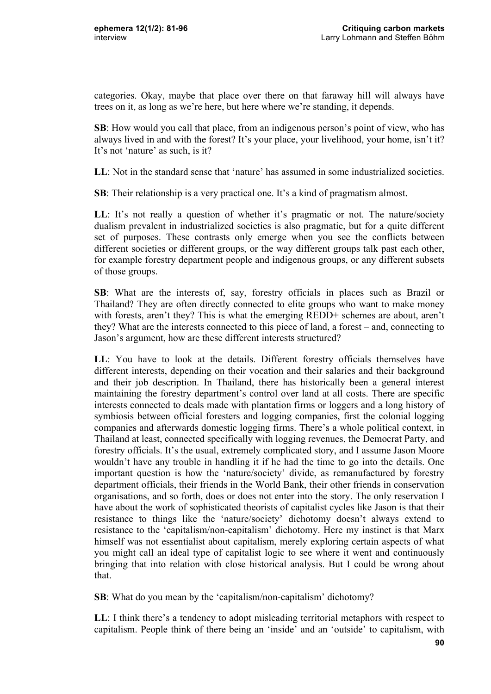categories. Okay, maybe that place over there on that faraway hill will always have trees on it, as long as we're here, but here where we're standing, it depends.

**SB**: How would you call that place, from an indigenous person's point of view, who has always lived in and with the forest? It's your place, your livelihood, your home, isn't it? It's not 'nature' as such, is it?

**LL**: Not in the standard sense that 'nature' has assumed in some industrialized societies.

**SB**: Their relationship is a very practical one. It's a kind of pragmatism almost.

LL: It's not really a question of whether it's pragmatic or not. The nature/society dualism prevalent in industrialized societies is also pragmatic, but for a quite different set of purposes. These contrasts only emerge when you see the conflicts between different societies or different groups, or the way different groups talk past each other, for example forestry department people and indigenous groups, or any different subsets of those groups.

**SB**: What are the interests of, say, forestry officials in places such as Brazil or Thailand? They are often directly connected to elite groups who want to make money with forests, aren't they? This is what the emerging REDD+ schemes are about, aren't they? What are the interests connected to this piece of land, a forest – and, connecting to Jason's argument, how are these different interests structured?

**LL**: You have to look at the details. Different forestry officials themselves have different interests, depending on their vocation and their salaries and their background and their job description. In Thailand, there has historically been a general interest maintaining the forestry department's control over land at all costs. There are specific interests connected to deals made with plantation firms or loggers and a long history of symbiosis between official foresters and logging companies, first the colonial logging companies and afterwards domestic logging firms. There's a whole political context, in Thailand at least, connected specifically with logging revenues, the Democrat Party, and forestry officials. It's the usual, extremely complicated story, and I assume Jason Moore wouldn't have any trouble in handling it if he had the time to go into the details. One important question is how the 'nature/society' divide, as remanufactured by forestry department officials, their friends in the World Bank, their other friends in conservation organisations, and so forth, does or does not enter into the story. The only reservation I have about the work of sophisticated theorists of capitalist cycles like Jason is that their resistance to things like the 'nature/society' dichotomy doesn't always extend to resistance to the 'capitalism/non-capitalism' dichotomy. Here my instinct is that Marx himself was not essentialist about capitalism, merely exploring certain aspects of what you might call an ideal type of capitalist logic to see where it went and continuously bringing that into relation with close historical analysis. But I could be wrong about that.

**SB**: What do you mean by the 'capitalism/non-capitalism' dichotomy?

**LL**: I think there's a tendency to adopt misleading territorial metaphors with respect to capitalism. People think of there being an 'inside' and an 'outside' to capitalism, with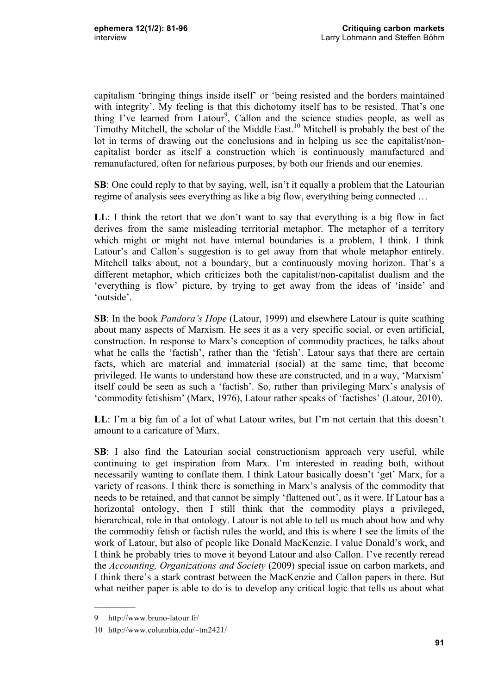capitalism 'bringing things inside itself' or 'being resisted and the borders maintained with integrity'. My feeling is that this dichotomy itself has to be resisted. That's one thing I've learned from Latour<sup>9</sup>, Callon and the science studies people, as well as Timothy Mitchell, the scholar of the Middle East.10 Mitchell is probably the best of the lot in terms of drawing out the conclusions and in helping us see the capitalist/noncapitalist border as itself a construction which is continuously manufactured and remanufactured, often for nefarious purposes, by both our friends and our enemies.

**SB**: One could reply to that by saying, well, isn't it equally a problem that the Latourian regime of analysis sees everything as like a big flow, everything being connected …

**LL**: I think the retort that we don't want to say that everything is a big flow in fact derives from the same misleading territorial metaphor. The metaphor of a territory which might or might not have internal boundaries is a problem, I think. I think Latour's and Callon's suggestion is to get away from that whole metaphor entirely. Mitchell talks about, not a boundary, but a continuously moving horizon. That's a different metaphor, which criticizes both the capitalist/non-capitalist dualism and the 'everything is flow' picture, by trying to get away from the ideas of 'inside' and 'outside'.

**SB**: In the book *Pandora's Hope* (Latour, 1999) and elsewhere Latour is quite scathing about many aspects of Marxism. He sees it as a very specific social, or even artificial, construction. In response to Marx's conception of commodity practices, he talks about what he calls the 'factish', rather than the 'fetish'. Latour says that there are certain facts, which are material and immaterial (social) at the same time, that become privileged. He wants to understand how these are constructed, and in a way, 'Marxism' itself could be seen as such a 'factish'. So, rather than privileging Marx's analysis of 'commodity fetishism' (Marx, 1976), Latour rather speaks of 'factishes' (Latour, 2010).

**LL**: I'm a big fan of a lot of what Latour writes, but I'm not certain that this doesn't amount to a caricature of Marx.

**SB**: I also find the Latourian social constructionism approach very useful, while continuing to get inspiration from Marx. I'm interested in reading both, without necessarily wanting to conflate them. I think Latour basically doesn't 'get' Marx, for a variety of reasons. I think there is something in Marx's analysis of the commodity that needs to be retained, and that cannot be simply 'flattened out', as it were. If Latour has a horizontal ontology, then I still think that the commodity plays a privileged, hierarchical, role in that ontology. Latour is not able to tell us much about how and why the commodity fetish or factish rules the world, and this is where I see the limits of the work of Latour, but also of people like Donald MacKenzie. I value Donald's work, and I think he probably tries to move it beyond Latour and also Callon. I've recently reread the *Accounting, Organizations and Society* (2009) special issue on carbon markets, and I think there's a stark contrast between the MacKenzie and Callon papers in there. But what neither paper is able to do is to develop any critical logic that tells us about what

 $\mathcal{L}=\mathcal{L}$ 

<sup>9</sup> http://www.bruno-latour.fr/

<sup>10</sup> http://www.columbia.edu/~tm2421/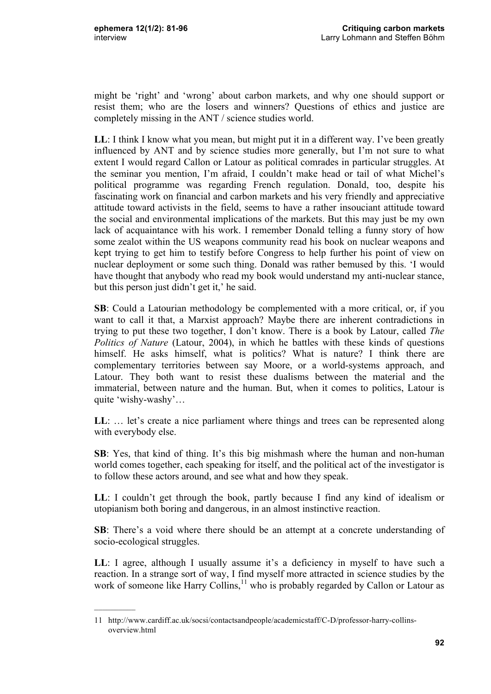$\frac{1}{2}$ 

might be 'right' and 'wrong' about carbon markets, and why one should support or resist them; who are the losers and winners? Questions of ethics and justice are completely missing in the ANT / science studies world.

**LL**: I think I know what you mean, but might put it in a different way. I've been greatly influenced by ANT and by science studies more generally, but I'm not sure to what extent I would regard Callon or Latour as political comrades in particular struggles. At the seminar you mention, I'm afraid, I couldn't make head or tail of what Michel's political programme was regarding French regulation. Donald, too, despite his fascinating work on financial and carbon markets and his very friendly and appreciative attitude toward activists in the field, seems to have a rather insouciant attitude toward the social and environmental implications of the markets. But this may just be my own lack of acquaintance with his work. I remember Donald telling a funny story of how some zealot within the US weapons community read his book on nuclear weapons and kept trying to get him to testify before Congress to help further his point of view on nuclear deployment or some such thing. Donald was rather bemused by this. 'I would have thought that anybody who read my book would understand my anti-nuclear stance, but this person just didn't get it,' he said.

**SB**: Could a Latourian methodology be complemented with a more critical, or, if you want to call it that, a Marxist approach? Maybe there are inherent contradictions in trying to put these two together, I don't know. There is a book by Latour, called *The Politics of Nature* (Latour, 2004), in which he battles with these kinds of questions himself. He asks himself, what is politics? What is nature? I think there are complementary territories between say Moore, or a world-systems approach, and Latour. They both want to resist these dualisms between the material and the immaterial, between nature and the human. But, when it comes to politics, Latour is quite 'wishy-washy'…

**LL**: … let's create a nice parliament where things and trees can be represented along with everybody else.

**SB**: Yes, that kind of thing. It's this big mishmash where the human and non-human world comes together, each speaking for itself, and the political act of the investigator is to follow these actors around, and see what and how they speak.

**LL**: I couldn't get through the book, partly because I find any kind of idealism or utopianism both boring and dangerous, in an almost instinctive reaction.

**SB**: There's a void where there should be an attempt at a concrete understanding of socio-ecological struggles.

**LL**: I agree, although I usually assume it's a deficiency in myself to have such a reaction. In a strange sort of way, I find myself more attracted in science studies by the work of someone like Harry Collins, $\frac{11}{11}$  who is probably regarded by Callon or Latour as

<sup>11</sup> http://www.cardiff.ac.uk/socsi/contactsandpeople/academicstaff/C-D/professor-harry-collinsoverview.html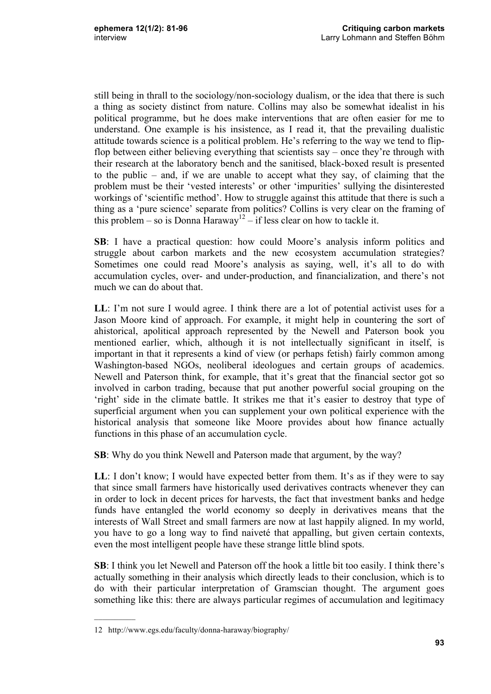still being in thrall to the sociology/non-sociology dualism, or the idea that there is such a thing as society distinct from nature. Collins may also be somewhat idealist in his political programme, but he does make interventions that are often easier for me to understand. One example is his insistence, as I read it, that the prevailing dualistic attitude towards science is a political problem. He's referring to the way we tend to flipflop between either believing everything that scientists say – once they're through with their research at the laboratory bench and the sanitised, black-boxed result is presented to the public – and, if we are unable to accept what they say, of claiming that the problem must be their 'vested interests' or other 'impurities' sullying the disinterested workings of 'scientific method'. How to struggle against this attitude that there is such a thing as a 'pure science' separate from politics? Collins is very clear on the framing of this problem – so is Donna Haraway<sup>12</sup> – if less clear on how to tackle it.

**SB**: I have a practical question: how could Moore's analysis inform politics and struggle about carbon markets and the new ecosystem accumulation strategies? Sometimes one could read Moore's analysis as saying, well, it's all to do with accumulation cycles, over- and under-production, and financialization, and there's not much we can do about that.

**LL**: I'm not sure I would agree. I think there are a lot of potential activist uses for a Jason Moore kind of approach. For example, it might help in countering the sort of ahistorical, apolitical approach represented by the Newell and Paterson book you mentioned earlier, which, although it is not intellectually significant in itself, is important in that it represents a kind of view (or perhaps fetish) fairly common among Washington-based NGOs, neoliberal ideologues and certain groups of academics. Newell and Paterson think, for example, that it's great that the financial sector got so involved in carbon trading, because that put another powerful social grouping on the 'right' side in the climate battle. It strikes me that it's easier to destroy that type of superficial argument when you can supplement your own political experience with the historical analysis that someone like Moore provides about how finance actually functions in this phase of an accumulation cycle.

**SB**: Why do you think Newell and Paterson made that argument, by the way?

**LL**: I don't know; I would have expected better from them. It's as if they were to say that since small farmers have historically used derivatives contracts whenever they can in order to lock in decent prices for harvests, the fact that investment banks and hedge funds have entangled the world economy so deeply in derivatives means that the interests of Wall Street and small farmers are now at last happily aligned. In my world, you have to go a long way to find naiveté that appalling, but given certain contexts, even the most intelligent people have these strange little blind spots.

**SB**: I think you let Newell and Paterson off the hook a little bit too easily. I think there's actually something in their analysis which directly leads to their conclusion, which is to do with their particular interpretation of Gramscian thought. The argument goes something like this: there are always particular regimes of accumulation and legitimacy

<sup>12</sup> http://www.egs.edu/faculty/donna-haraway/biography/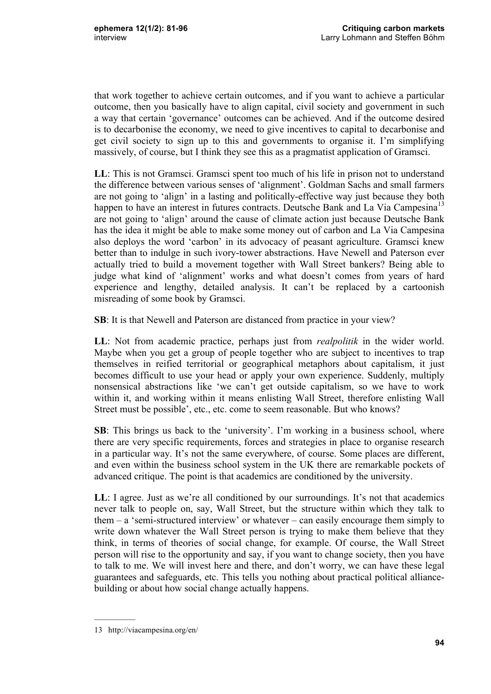that work together to achieve certain outcomes, and if you want to achieve a particular outcome, then you basically have to align capital, civil society and government in such a way that certain 'governance' outcomes can be achieved. And if the outcome desired is to decarbonise the economy, we need to give incentives to capital to decarbonise and get civil society to sign up to this and governments to organise it. I'm simplifying massively, of course, but I think they see this as a pragmatist application of Gramsci.

**LL**: This is not Gramsci. Gramsci spent too much of his life in prison not to understand the difference between various senses of 'alignment'. Goldman Sachs and small farmers are not going to 'align' in a lasting and politically-effective way just because they both happen to have an interest in futures contracts. Deutsche Bank and La Via Campesina<sup>13</sup> are not going to 'align' around the cause of climate action just because Deutsche Bank has the idea it might be able to make some money out of carbon and La Via Campesina also deploys the word 'carbon' in its advocacy of peasant agriculture. Gramsci knew better than to indulge in such ivory-tower abstractions. Have Newell and Paterson ever actually tried to build a movement together with Wall Street bankers? Being able to judge what kind of 'alignment' works and what doesn't comes from years of hard experience and lengthy, detailed analysis. It can't be replaced by a cartoonish misreading of some book by Gramsci.

**SB**: It is that Newell and Paterson are distanced from practice in your view?

**LL**: Not from academic practice, perhaps just from *realpolitik* in the wider world. Maybe when you get a group of people together who are subject to incentives to trap themselves in reified territorial or geographical metaphors about capitalism, it just becomes difficult to use your head or apply your own experience. Suddenly, multiply nonsensical abstractions like 'we can't get outside capitalism, so we have to work within it, and working within it means enlisting Wall Street, therefore enlisting Wall Street must be possible', etc., etc. come to seem reasonable. But who knows?

**SB**: This brings us back to the 'university'. I'm working in a business school, where there are very specific requirements, forces and strategies in place to organise research in a particular way. It's not the same everywhere, of course. Some places are different, and even within the business school system in the UK there are remarkable pockets of advanced critique. The point is that academics are conditioned by the university.

**LL**: I agree. Just as we're all conditioned by our surroundings. It's not that academics never talk to people on, say, Wall Street, but the structure within which they talk to them – a 'semi-structured interview' or whatever – can easily encourage them simply to write down whatever the Wall Street person is trying to make them believe that they think, in terms of theories of social change, for example. Of course, the Wall Street person will rise to the opportunity and say, if you want to change society, then you have to talk to me. We will invest here and there, and don't worry, we can have these legal guarantees and safeguards, etc. This tells you nothing about practical political alliancebuilding or about how social change actually happens.

<sup>13</sup> http://viacampesina.org/en/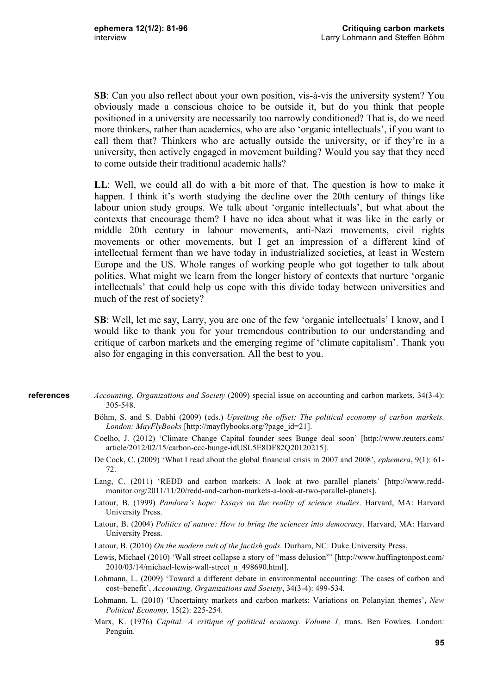**SB**: Can you also reflect about your own position, vis-à-vis the university system? You obviously made a conscious choice to be outside it, but do you think that people positioned in a university are necessarily too narrowly conditioned? That is, do we need more thinkers, rather than academics, who are also 'organic intellectuals', if you want to call them that? Thinkers who are actually outside the university, or if they're in a university, then actively engaged in movement building? Would you say that they need to come outside their traditional academic halls?

**LL**: Well, we could all do with a bit more of that. The question is how to make it happen. I think it's worth studying the decline over the 20th century of things like labour union study groups. We talk about 'organic intellectuals', but what about the contexts that encourage them? I have no idea about what it was like in the early or middle 20th century in labour movements, anti-Nazi movements, civil rights movements or other movements, but I get an impression of a different kind of intellectual ferment than we have today in industrialized societies, at least in Western Europe and the US. Whole ranges of working people who got together to talk about politics. What might we learn from the longer history of contexts that nurture 'organic intellectuals' that could help us cope with this divide today between universities and much of the rest of society?

**SB**: Well, let me say, Larry, you are one of the few 'organic intellectuals' I know, and I would like to thank you for your tremendous contribution to our understanding and critique of carbon markets and the emerging regime of 'climate capitalism'. Thank you also for engaging in this conversation. All the best to you.

- *Accounting, Organizations and Society* (2009) special issue on accounting and carbon markets, 34(3-4): 305-548. **references**
	- Böhm, S. and S. Dabhi (2009) (eds.) *Upsetting the offset: The political economy of carbon markets. London: MayFlyBooks* [http://mayflybooks.org/?page\_id=21].
	- Coelho, J. (2012) 'Climate Change Capital founder sees Bunge deal soon' [http://www.reuters.com/ article/2012/02/15/carbon-ccc-bunge-idUSL5E8DF82Q20120215].
	- De Cock, C. (2009) 'What I read about the global financial crisis in 2007 and 2008', *ephemera*, 9(1): 61- 72.
	- Lang, C. (2011) 'REDD and carbon markets: A look at two parallel planets' [http://www.reddmonitor.org/2011/11/20/redd-and-carbon-markets-a-look-at-two-parallel-planets].
	- Latour, B. (1999) *Pandora's hope: Essays on the reality of science studies*. Harvard, MA: Harvard University Press.
	- Latour, B. (2004) *Politics of nature: How to bring the sciences into democracy*. Harvard, MA: Harvard University Press.
	- Latour, B. (2010) *On the modern cult of the factish gods*. Durham, NC: Duke University Press.

Lewis, Michael (2010) 'Wall street collapse a story of "mass delusion"' [http://www.huffingtonpost.com/ 2010/03/14/michael-lewis-wall-street\_n\_498690.html].

- Lohmann, L. (2009) 'Toward a different debate in environmental accounting: The cases of carbon and cost–benefit', *Accounting, Organizations and Society*, 34(3-4): 499-534.
- Lohmann, L. (2010) 'Uncertainty markets and carbon markets: Variations on Polanyian themes', *New Political Economy,* 15(2): 225-254.
- Marx, K. (1976) *Capital: A critique of political economy. Volume 1,* trans. Ben Fowkes. London: Penguin.